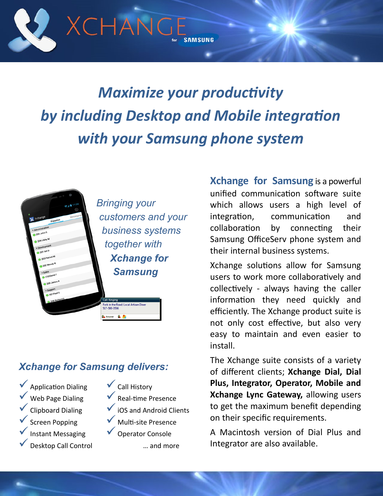

# *Maximize your productivity by including Desktop and Mobile integration with your Samsung phone system*



# *Xchange for Samsung delivers:*

- $\checkmark$  Application Dialing  $\checkmark$  Web Page Dialing  $\checkmark$  Clipboard Dialing Screen Popping Instant Messaging
- Desktop Call Control
- $\checkmark$  Call History
- $\sqrt{\ }$  Real-time Presence
- $\checkmark$  iOS and Android Clients
	- Multi-site Presence
- ◆ Operator Console

… and more

**Xchange for Samsung** is a powerful unified communication software suite which allows users a high level of integration, communication and collaboration by connecting their Samsung OfficeServ phone system and their internal business systems.

Xchange solutions allow for Samsung users to work more collaboratively and collectively - always having the caller information they need quickly and efficiently. The Xchange product suite is not only cost effective, but also very easy to maintain and even easier to install.

The Xchange suite consists of a variety of different clients; **Xchange Dial, Dial Plus, Integrator, Operator, Mobile and Xchange Lync Gateway,** allowing users to get the maximum benefit depending on their specific requirements.

A Macintosh version of Dial Plus and Integrator are also available.